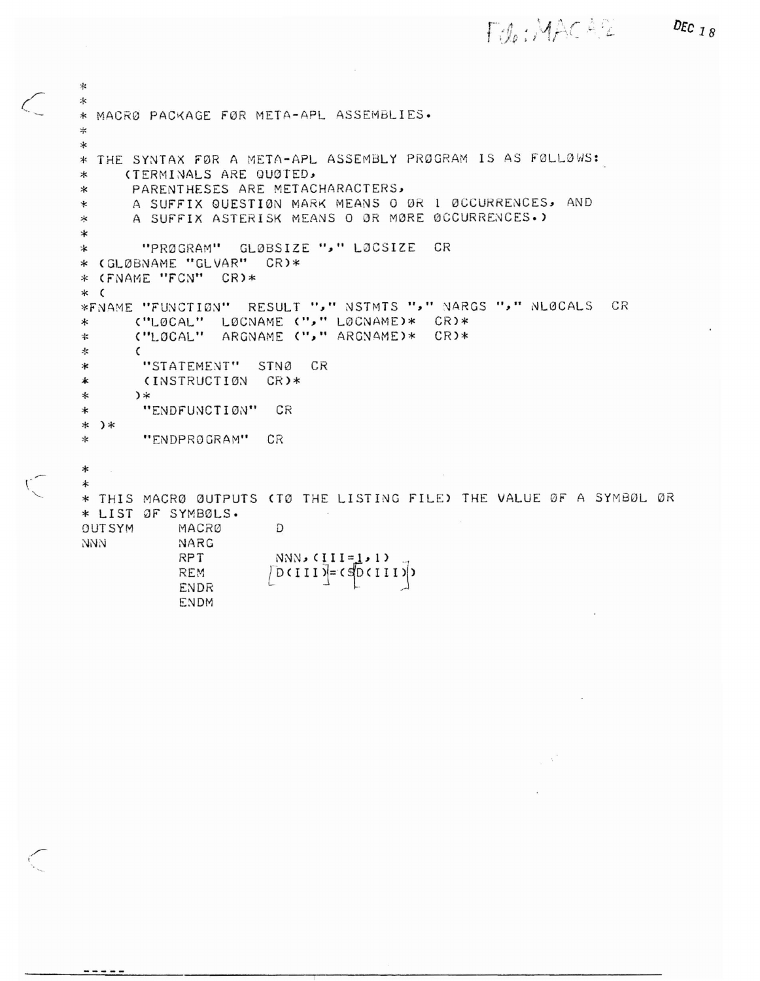Filo: MACASC

DEC  $18$ 

```
*
氺
* MACRØ PACKAGE FØR META-APL ASSEMBLIES.
\frac{1}{T}\ast* THE SYNTAX FØR A META-APL ASSEMBLY PRØGRAM IS AS FØLLØWS:
     (TERMINALS ARE QUØTED,
\astPARENTHESES ARE METACHARACTERS,
\astA SUFFIX GUESTION MARK MEANS O OR 1 OCCURRENCES, AND
\astA SUFFIX ASTERISK MEANS O ØR MØRE ØCCURRENCES.)
∗
\ast"PRØGRAM" GLØBSIZE "," LØCSIZE
\astCR
* (GLØBNAME "GLVAR" CR)*
* (FNAME "FCN" CR)*
* (
*FNAME "FUNCTION" RESULT ", " NSTMTS ", " NARGS ", " NLOCALS CR
      ("LØCAL" LØCNAME ("," LØCNAME)* CR)*
\ast("LOCAL" ARGNAME ("," ARGNAME)* CR)*
\ast∗
      \epsilon"STATEMENT" STNØ CR
\ast(INSTRUCTION CR)*
\star\ast*"ENDFUNCTION"
                      CR
∗
* )*
       "ENDPROGRAM"
\starCR
\ast\ast* THIS MACRØ ØUTPUTS (TØ THE LISTING FILE) THE VALUE ØF A SYMBØL ØR
* LIST OF SYMBOLS.
OUTSYM
           MACRØ
                       D
NNN
            NARG
            RPT
                       NNN, (III=1,1)REM
            ENDR
            ENDM
```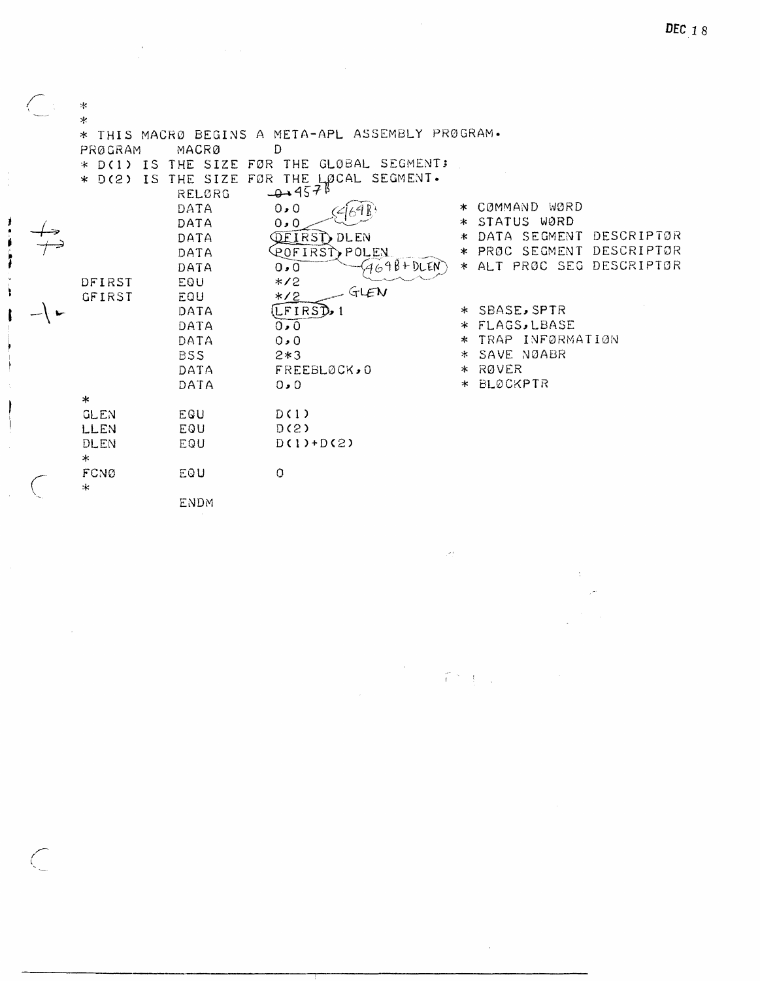| 氺              |                 |                                                |         |                            |
|----------------|-----------------|------------------------------------------------|---------|----------------------------|
| $\ast$         |                 |                                                |         |                            |
| $\gg$          |                 | THIS MACRO BEGINS A META-APL ASSEMBLY PROGRAM. |         |                            |
| PRØGRAM        | MACRØ           | D                                              |         |                            |
| $*$ D(1) IS    |                 | THE SIZE FØR THE GLØBAL SEGMENT;               |         |                            |
| IS<br>$*$ D(2) | THE SIZE<br>FØR | THE LOCAL SEGMENT.                             |         |                            |
|                | RELØRG          | $-4.4578$                                      |         |                            |
|                | DATA            | 0.0                                            | ∗       | COMMAND WORD               |
|                | DATA            | 0.0                                            | ∗       | STATUS WØRD                |
|                | DATA            | <b>QEIRST</b> DLEN                             | ж       | DATA SEGMENT<br>DESCRIPTØR |
|                | DATA            | COFIRST, POLEY                                 | ∗       | DESCRIPTOR<br>PRØC SEGMENT |
|                | DATA            | $7698 + DLEN$<br>0.0                           | $\ast$  | ALT PRØC SEG DESCRIPTØR    |
| DFIRST         | EQU             | $*2$                                           |         |                            |
| GFIRST         | EQU             | GLEN<br>$*2$                                   |         |                            |
|                | DATA            | (LFIRST),                                      |         | * SBASE, SPTR              |
|                | DATA            | 0.0                                            |         | * FLAGS, LBASE             |
|                | DATA            | 0.0                                            | $\ast$  | TRAP INFØRMATIØN           |
|                | <b>BSS</b>      | $2*3$                                          | *       | SAVE NØABR                 |
|                | DATA            | FREEBLØCK, 0                                   |         | * RØVER                    |
|                | DATA            | 0.0                                            | $\star$ | <b>BLØCKPTR</b>            |
| $\ast$         |                 |                                                |         |                            |
| <b>GLEN</b>    | EQU             | D(1)                                           |         |                            |
| LLEN           | EQU             | D(2)                                           |         |                            |
| DLEN           | EQU             | $D(1)+D(2)$                                    |         |                            |
| $\ast$         |                 |                                                |         |                            |
| FCNØ           | EQU             | $\circ$                                        |         |                            |
| $\ast$         | <b>ENDM</b>     |                                                |         |                            |
|                |                 |                                                |         |                            |

 $\hat{\mathcal{A}}$ 

 $\label{eq:2.1} \frac{1}{\sqrt{2\pi}}\int_{0}^{\infty}\frac{1}{\sqrt{2\pi}}\left(\frac{1}{\sqrt{2\pi}}\right)^{2\alpha} \frac{1}{\sqrt{2\pi}}\int_{0}^{\infty}\frac{1}{\sqrt{2\pi}}\left(\frac{1}{\sqrt{2\pi}}\right)^{2\alpha} \frac{1}{\sqrt{2\pi}}\frac{1}{\sqrt{2\pi}}\int_{0}^{\infty}\frac{1}{\sqrt{2\pi}}\frac{1}{\sqrt{2\pi}}\frac{1}{\sqrt{2\pi}}\frac{1}{\sqrt{2\pi}}\frac{1}{\sqrt{2\pi}}\frac{1}{\sqrt{$ 

 $\bar{z}$ 

 $\overline{\bigcirc}$ 

 $\mathcal{L}_{\mathcal{A}}$ 

 $\ddot{\phantom{a}}$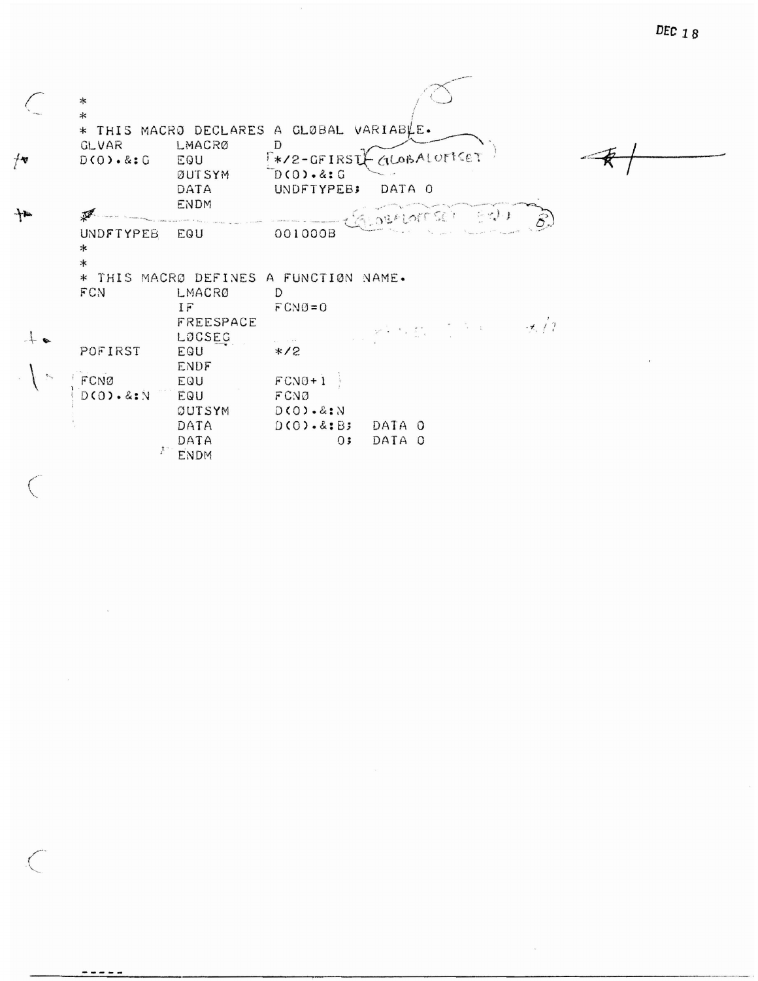DEC 18

|      | ∗                      |             |                                                    |
|------|------------------------|-------------|----------------------------------------------------|
|      | $\ast$                 |             |                                                    |
|      |                        |             | * THIS MACRO DECLARES A GLOBAL VARIABLE.           |
|      | <b>GLVAR</b>           | LMACRØ      | D                                                  |
| $+$  | $D(O) \cdot 8:G$       | EQU         | CILOBALOFICET<br>$**$ /2-GFIRST                    |
|      |                        | ØUTSYM      | $D(0) \cdot 8:G$                                   |
|      |                        | DATA        | DATA 0                                             |
|      |                        |             | UNDFTYPEB;                                         |
| $+2$ |                        | <b>ENDM</b> |                                                    |
|      |                        |             | GLOBALOTTER EN                                     |
|      | <b>UNDFTYPEB</b>       | EQU         | 001000B                                            |
|      | ∗                      |             |                                                    |
|      | $\ast$                 |             |                                                    |
|      |                        |             | * THIS MACRØ DEFINES A FUNCTIØN NAME.              |
|      | FCN                    | LMACRO      | D                                                  |
|      |                        | IF          | $FCN0=0$                                           |
|      |                        | FREESPACE   | $\mathbb{R}^3$ of $\mathbb{R}^3$ is $\mathbb{R}^3$ |
|      |                        | LOCSEG      | an collect                                         |
|      | POFIRST                | EQU         | $*2$                                               |
|      |                        | ENDF        |                                                    |
|      | FCNØ                   | EQU         | $FCN0+1$                                           |
|      | $D(0)$ . &: N          | EQU         | FCN0                                               |
|      |                        | OUTSYM      | D(O).8: N                                          |
|      |                        | DATA        | $D(0) \cdot \& B$ ;<br>DATA O                      |
|      |                        | DATA        | DATA O<br>0:                                       |
|      | $\mathcal{X}^{\times}$ | ENDM        |                                                    |

 $\label{eq:2.1} \langle \hat{A} \rangle \rangle$ 

 $\subset$ 

 $\bigg($ 

 $\tilde{K}$ 

<u>-----</u>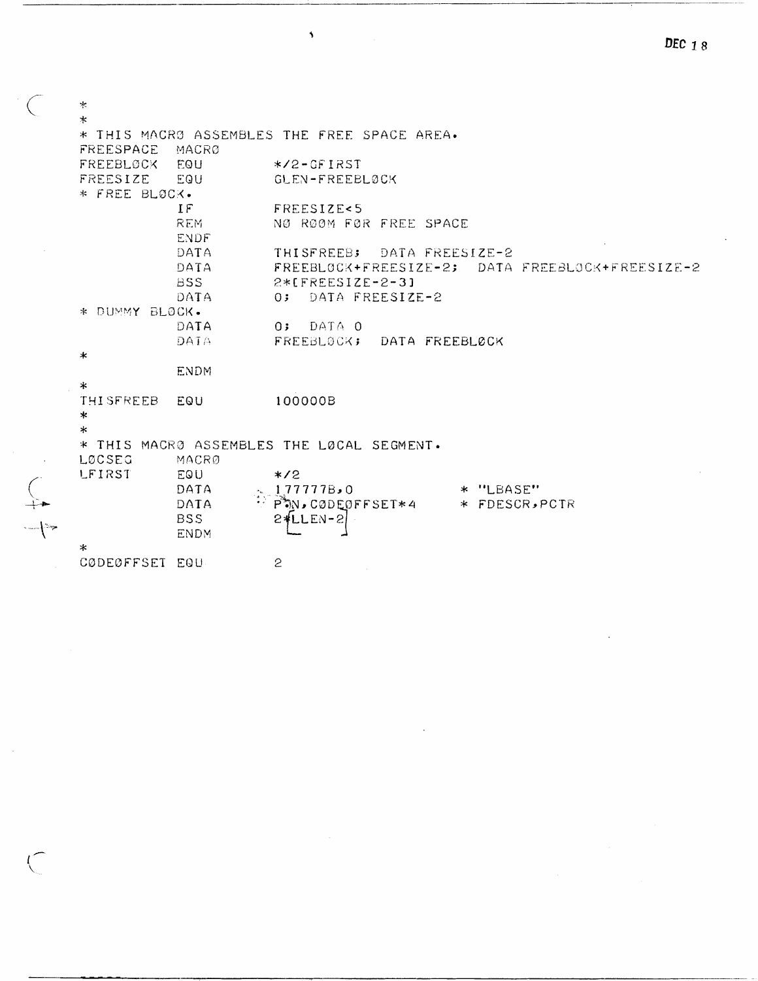$\star$  $\ast$ \* THIS MACRO ASSEMBLES THE FREE SPACE AREA. FREESPACE MACRØ FREEBLOCK EQU  $*$ /2-GFIRST EQU FREESIZE GLEN-FREEBLØCK \* FREE BLOCK.  $IF$ FREESIZE<5 **REM** NØ RØØM FØR FREE SPACE ENDF. DATA THISFREEB; DATA FREESIZE-2 DATA FREEBLOCK+FREESIZE-2; DATA FREEBLOCK+FREESIZE-2 **BSS**  $2*IFREESIZE-2-31$ DATA  $0:$ DATA FREESIZE-2 \* DUMMY BLOCK. DATA  $0;$ DATA 0 DATA FREEBLOCK; DATA FREEBLOCK sk. **ENDM**  $\ast$ THISFREEB 100000B EQU  $\ast$  $\ast$ \* THIS MACRO ASSEMBLES THE LOCAL SEGMENT. LØCSEG MACRØ LFIRST EQU  $*2$ DATA 1,77777B,0 \* "LBASE"  $\sum_{i=1}^{n} \frac{1}{i} \int_{0}^{1} \int_{0}^{1} \int_{0}^{1} \int_{0}^{1} \int_{0}^{1} \int_{0}^{1} \int_{0}^{1} \int_{0}^{1} \int_{0}^{1} \int_{0}^{1} \int_{0}^{1} \int_{0}^{1} \int_{0}^{1} \int_{0}^{1} \int_{0}^{1} \int_{0}^{1} \int_{0}^{1} \int_{0}^{1} \int_{0}^{1} \int_{0}^{1} \int_{0}^{1} \int_{0}^{1} \int_{0}^{1} \int_{0}^{1} \int_{0}^{1} \int_{$ \* FDESCR, PCTR DATA **BSS**  $2 + LLEN - 2$ **ENDM**  $\ast$ CØDEØFFSET EQU  $\mathbf{S}$ 

 $\overline{\mathbf{A}}$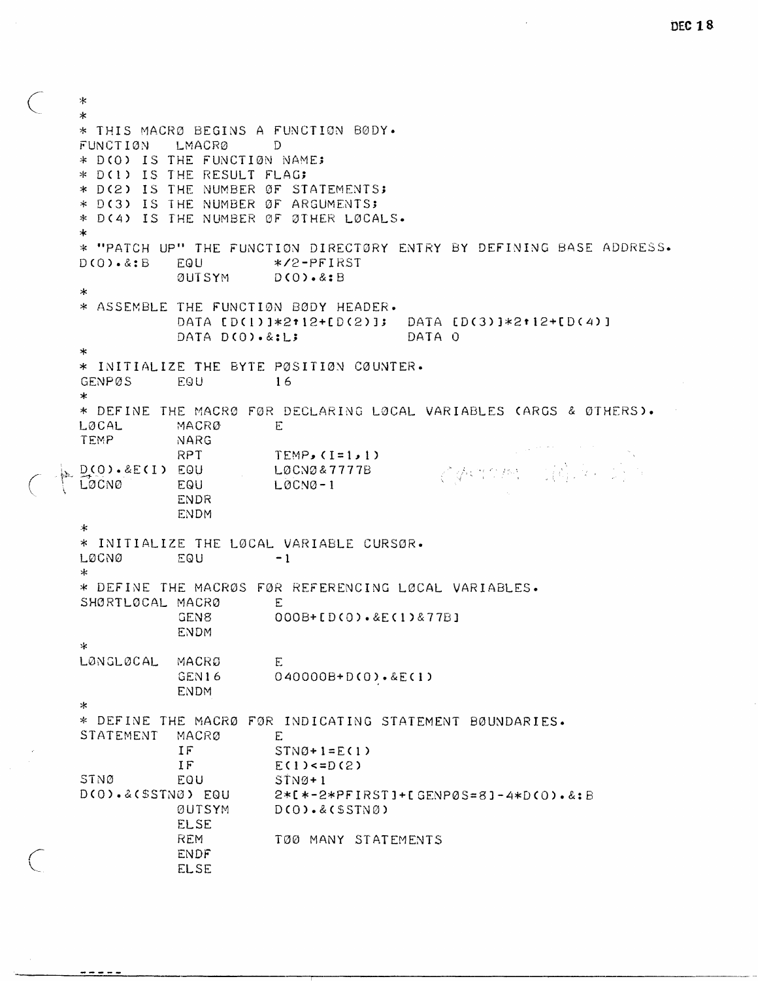```
DEC 18
```

```
\gg\mathbf{r}* THIS MACRØ BEGINS A FUNCTION BØDY.
FUNCTION
          LMACRØ
                       \Gamma* D(O) IS THE FUNCTION NAME;
* D(1) IS THE RESULT FLAG:
* D(2) IS THE NUMBER ØF STATEMENTS;
* D(3) IS THE NUMBER ØF ARGUMENTS;
* D(4) IS THE NUMBER OF ØTHER LØCALS.
\star* "PATCH UP" THE FUNCTION DIRECTORY ENTRY BY DEFINING BASE ADDRESS.
                       */2-PFIRST
D(0) \cdot 8:BEQU
           ØUTSYM
                       D(0).8:B\ast* ASSEMBLE THE FUNCTION BODY HEADER.
           DATA [D(1)]*2*12+[D(2)]; DATA [D(3)]*2*12+[D(4)]
           DATA D(0).&:L;
                                       DATA O
\star* INITIALIZE THE BYTE PØSITIØN CØUNTER.
          EQU
GENPØS
                       16
\ast* DEFINE THE MACRØ FØR DECLARING LØCAL VARIABLES (ARGS & ØTHERS).
LØCAL
           MACRØ
                       FTEMP
           NARG
           RPT
                       TEMP, (I=1, 1)CONTOME (商业)
D(0).&E(1) EQU
                       LØCNØ&7777B
LOCNO
           EQU
                       LQCNQ-1ENDR
           ENDM
\star* INITIALIZE THE LOCAL VARIABLE CURSOR.
LØCNØ
           EQU
                       -1\star* DEFINE THE MACROS FOR REFERENCING LOCAL VARIABLES.
SHØRTLØCAL MACRØ
                       EGEN8
                       000B+[D(0).&E(1)&77B]
           ENDM
\astLØNGLØCAL
          MACRØ
                       E
                       040000B + D(0) \cdot & E(1)GEN16
           ENDM
\star* DEFINE THE MACRØ FØR INDICATING STATEMENT BØUNDARIES.
STATEMENT
          MACRØ
                       E
           IF
                       STNØ+1=E(1)IF
                       E(1) < =D(2)STNØ
           EQU
                       STNØ+1D(0).&(SSTN0) EQU
                       2*1*-2*PFIRST1+ [GENPØS=8] - 4*D(0).&B;BØUTSYM
                       D(O).&(SSTNØ)ELSE.
           REM
                       T00 MANY STATEMENTS
           ENDF
           ELSE
```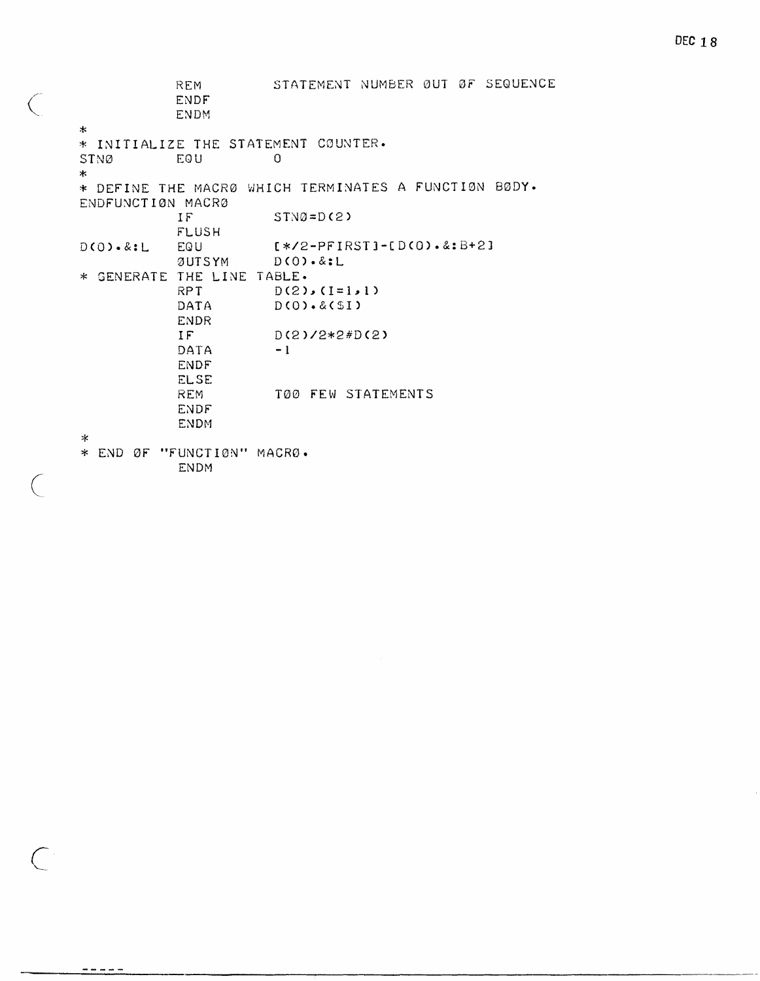STATEMENT NUMBER ØUT ØF SEQUENCE REM **ENDF ENDM**  $\star$ \* INITIALIZE THE STATEMENT COUNTER. EQU STNØ  $\Omega$  $\star$ \* DEFINE THE MACRØ WHICH TERMINATES A FUNCTION BØDY. ENDFUNCTION MACRO  $\mathbf{IF}$  $STNØ = D(2)$ **FLUSH**  $D(0) \cdot 8: L$ EQU  $1*72 - PFIRST1 - [D(0).2:B+2]$  $D(O).$ &:L **ØUTSYM** \* GENERATE THE LINE TABLE. RPT  $D(2), (I=1,1)$ DATA  $D(0) . 8(51)$ **ENDR** IF  $D(2)/2*2#D(2)$ DATA  $-1$ **ENDF ELSE REM** T00 FEW STATEMENTS **ENDF ENDM**  $\ast$ \* END ØF "FUNCTIØN" MACRØ.

**ENDM** 

 $\bigg($ 

 $\subset$ 

-----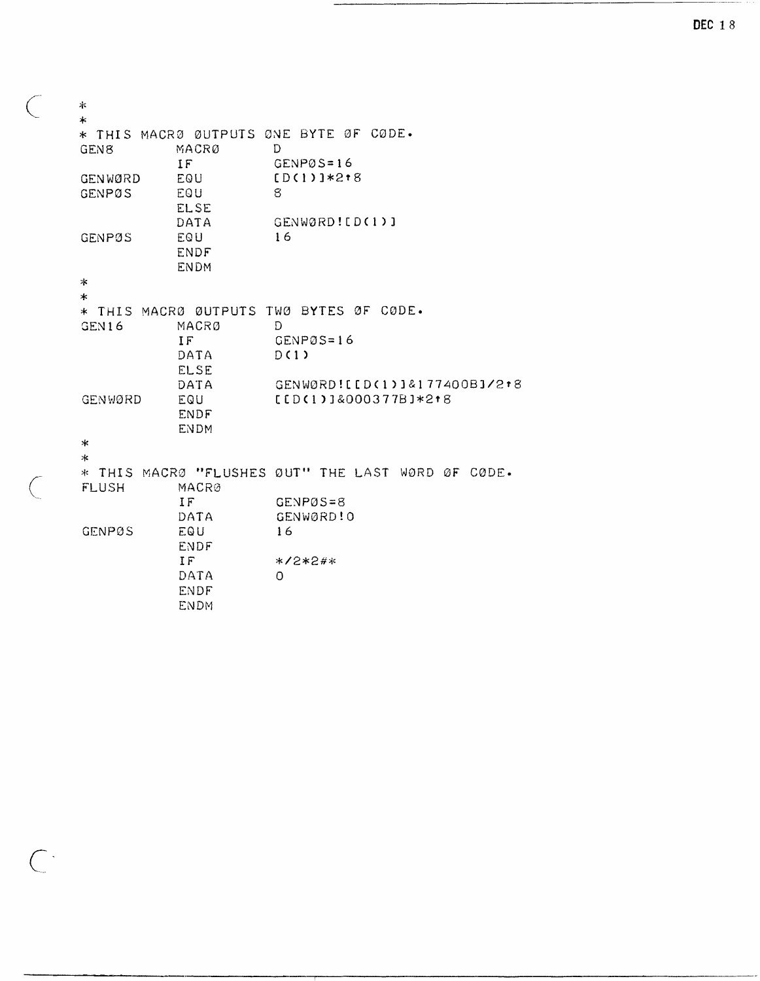| *                |             |                                                   |
|------------------|-------------|---------------------------------------------------|
| $\ast$           |             | * THIS MACRØ ØUTPUTS ØNE BYTE ØF CØDE.            |
| GEN <sub>8</sub> | MACRØ       | D                                                 |
|                  | IF          | GENP0S=16                                         |
| GENWØRD          | EQU         | $[D(1)]*2*8$                                      |
| <b>GENPØS</b>    | EQU         | 8                                                 |
|                  | <b>ELSE</b> |                                                   |
|                  | DATA        | GENWØRD! [D(1)]                                   |
| <b>GENPØS</b>    | EQU         | 16                                                |
|                  | <b>ENDF</b> |                                                   |
|                  | <b>ENDM</b> |                                                   |
| ∗                |             |                                                   |
| $\ast$           |             |                                                   |
|                  |             | * THIS MACRØ ØUTPUTS TWØ BYTES ØF CØDE.           |
| GEN16            | MACRO       | D                                                 |
|                  | IF          | $GENPØS=16$                                       |
|                  | DATA        | D(1)                                              |
|                  | <b>ELSE</b> |                                                   |
|                  | DATA        | GENWORD! [[D(1)]&177400BJ/2+8                     |
| GENWØRD          | EQU         | $[LD(1)1&000377B1*218$                            |
|                  | <b>ENDF</b> |                                                   |
|                  | <b>ENDM</b> |                                                   |
| ∗                |             |                                                   |
| $\ast$           |             |                                                   |
|                  |             | * THIS MACRØ "FLUSHES ØUT" THE LAST WØRD ØF CØDE. |
| <b>FLUSH</b>     | MACRØ       |                                                   |
|                  | IF          | $GENPØS = 8$                                      |
|                  | DATA        | GENWØRD! O                                        |
| <b>GENPØS</b>    | EQU         | 16                                                |
|                  | <b>ENDF</b> |                                                   |
|                  | IF          | $*72*2**$                                         |
|                  | DATA        | O                                                 |
|                  | ENDF        |                                                   |
|                  | <b>ENDM</b> |                                                   |

 $\bigcup$ 

 $\left(\right)$ 

 $\mathcal{C}$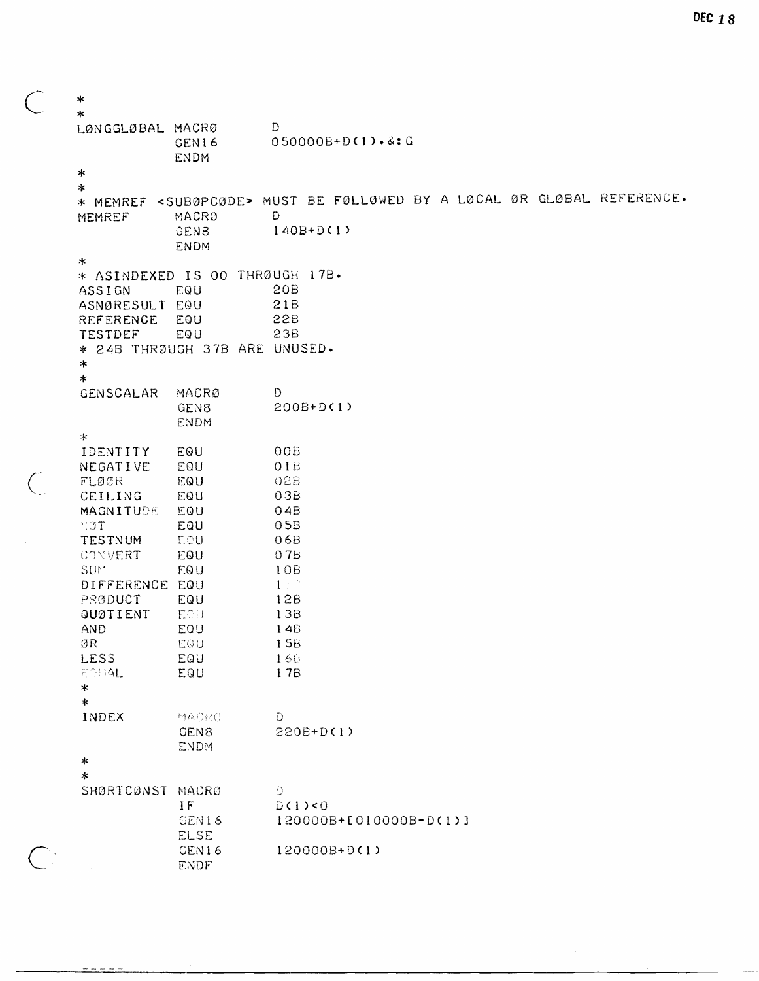$\ast$ ÷ LØNGGLØBAL MACRØ D 050000B+D(1).&:G GEN16 **ENDM**  $\star$  $\star$ \* MEMREF <SUBØPCØDE> MUST BE FØLLØWED BY A LØCAL ØR GLØBAL REFERENCE. MACRO D MEMREF  $140B + D(1)$ **GEN8 ENDM**  $\ast$ \* ASINDEXED IS OO THRØUGH 17B. **20B** ASSIGN EQU  $21B$ ASNØRESULT EQU **REFERENCE** EQU **22B TESTDEF** EQU  $23B$ \* 24B THRØUGH 37B ARE UNUSED.  $\ast$  $\ast$ D. **GENSCALAR** MACRØ 200B+D(1) GEN8 **ENDM**  $\ast$ **IDENTITY** EQU  $00B$ NEGATIVE EQU  $01B$  $FLQGR$ EQU  $02B$ CEILING EQU  $03B$ MAGNITUDE EQU  $04B$  $05B$  $NOT$ EQU **TESTNUM** EOU  $06B$ CONVERT EQU 07B SUM<sup>®</sup> EQU  $10B$  $1.111$ DIFFERENCE EQU PRØDUCT EQU  $12B$ EOU **QUØTIENT** 13B **AND** EQU  $14B$ ØR EQU **15B LESS** EQU 165 ECHAL 17B EQU  $\star$  $\star$ INDEX MACRO D GEN8 220B+D(1) **ENDM**  $\star$  $\star$ SHØRTCØNST MACRØ Đ. IF  $D(1) < 0$ 120000B+0010000B-D(1)] GEN16 **ELSE** CEN16 120000B+D(1) ENDF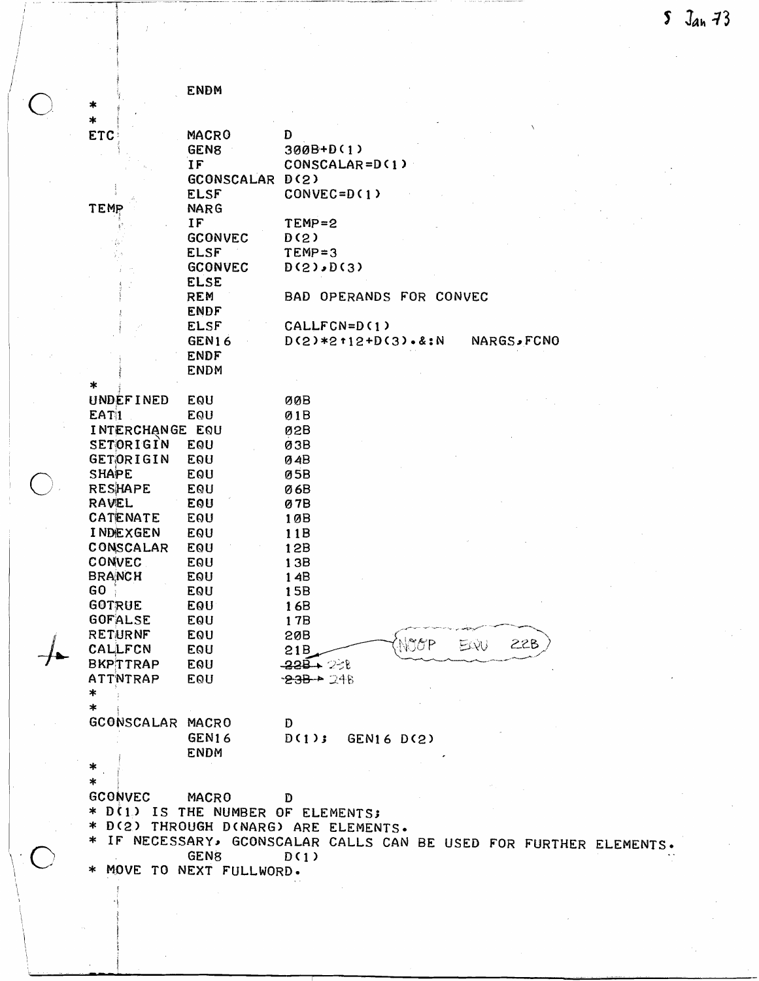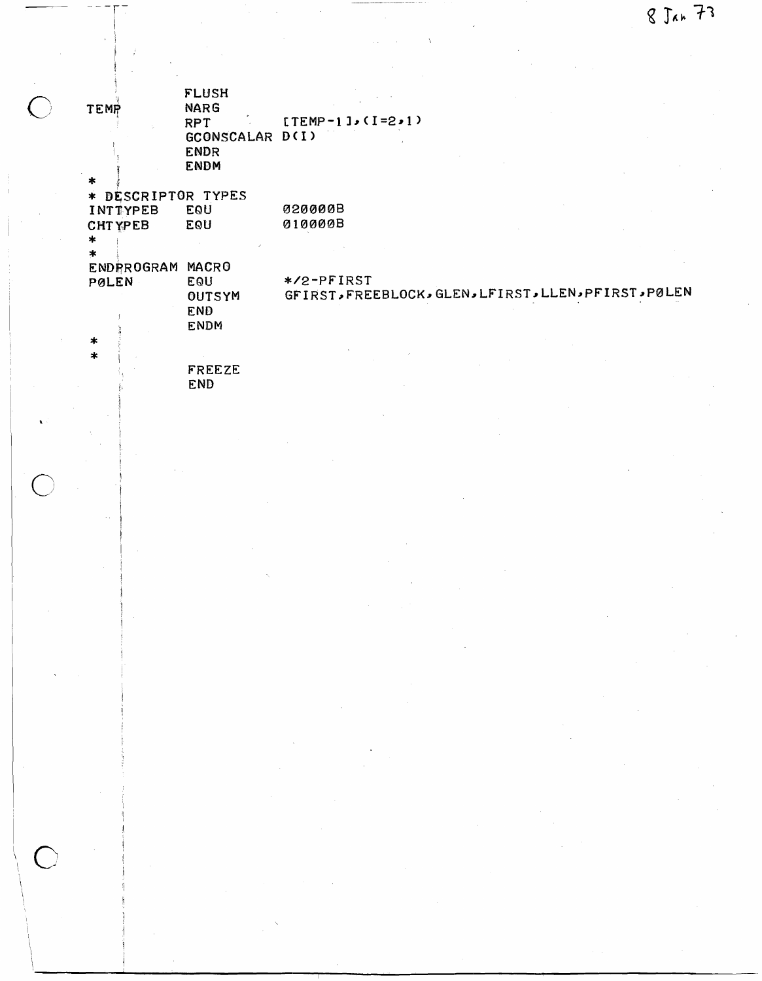| <b>TEMP</b>        | <b>FLUSH</b><br><b>NARG</b> |                                                      |  |
|--------------------|-----------------------------|------------------------------------------------------|--|
|                    | <b>RPT</b>                  | $[TEMP - 1] \cdot (I = 2 \cdot 1)$                   |  |
|                    | GCONSCALAR D(I)             |                                                      |  |
|                    | <b>ENDR</b><br><b>ENDM</b>  |                                                      |  |
|                    |                             |                                                      |  |
| * DESCRIPTOR TYPES |                             |                                                      |  |
| INTTYPEB           | EQU                         | 020000B                                              |  |
| <b>CHTYPEB</b>     | EOU                         | 010000B                                              |  |
| $\ast$<br>*        |                             |                                                      |  |
| <b>ENDRROGRAM</b>  | MACRO                       |                                                      |  |
| PØLEN              | EOU                         | */2-PFIRST                                           |  |
|                    | OUTSYM                      | GFIRST, FREEBLOCK, GLEN, LFIRST, LLEN, PFIRST, PØLEN |  |
|                    | <b>END</b>                  |                                                      |  |
|                    | <b>ENDM</b>                 |                                                      |  |
| $\ast$<br>$\star$  |                             |                                                      |  |
|                    | FREEZE                      |                                                      |  |
|                    | <b>END</b>                  |                                                      |  |
|                    |                             |                                                      |  |
|                    |                             |                                                      |  |
|                    |                             |                                                      |  |
|                    |                             |                                                      |  |
|                    |                             |                                                      |  |
|                    |                             |                                                      |  |
|                    |                             |                                                      |  |
|                    |                             |                                                      |  |
|                    |                             |                                                      |  |
|                    |                             |                                                      |  |

 $\sim$   $\Lambda$ 

 $\mathcal{L}$ 

 $\sim$  7

 $\overline{\bigcap}$ 

 $\subset$ 

 $\left($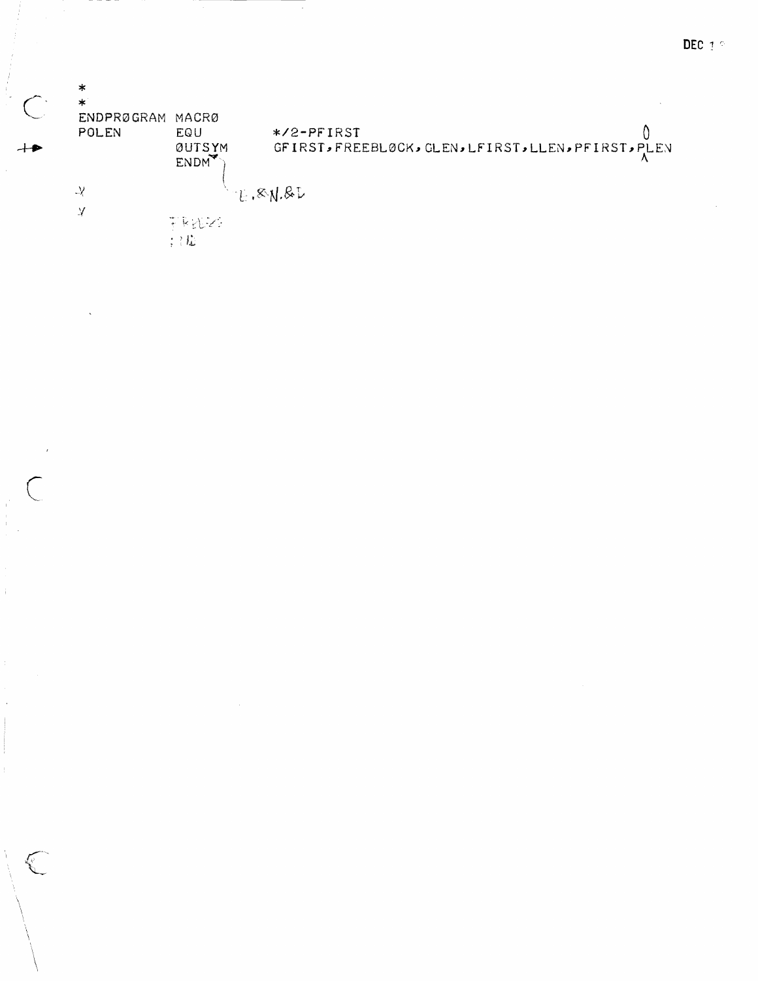|                          | $\ast$            |                   |                                                     |
|--------------------------|-------------------|-------------------|-----------------------------------------------------|
| $\overline{\phantom{0}}$ | $\ast$            |                   |                                                     |
|                          | <b>ENDPRØGRAM</b> | MACRØ             |                                                     |
|                          | POLEN             | EQU               | $*2$ -PFIRST                                        |
|                          |                   | <b>ØUTSYM</b>     | GFIRST, FREEBLØCK, GLEN, LFIRST, LLEN, PFIRST, PLEN |
|                          |                   | ENDM <sup>*</sup> |                                                     |
|                          |                   |                   |                                                     |
|                          | $\mathcal{Y}$     | $-E$ , $RN$ , $R$ |                                                     |
|                          | ¥                 |                   |                                                     |
|                          |                   | 王良还不              |                                                     |
|                          |                   | … した              |                                                     |
|                          |                   |                   |                                                     |

 $\hat{\mathcal{A}}$ 

 $\frac{1}{2}$ 

 $\begin{array}{c} 1 \\ 1 \\ 1 \\ 1 \end{array}$ 

 $\hat{\mathbf{I}}$ 

 $\begin{pmatrix} 1 & 1 \\ 1 & 1 \\ 1 & 1 \end{pmatrix}$ 

 $\ddot{\phantom{a}}$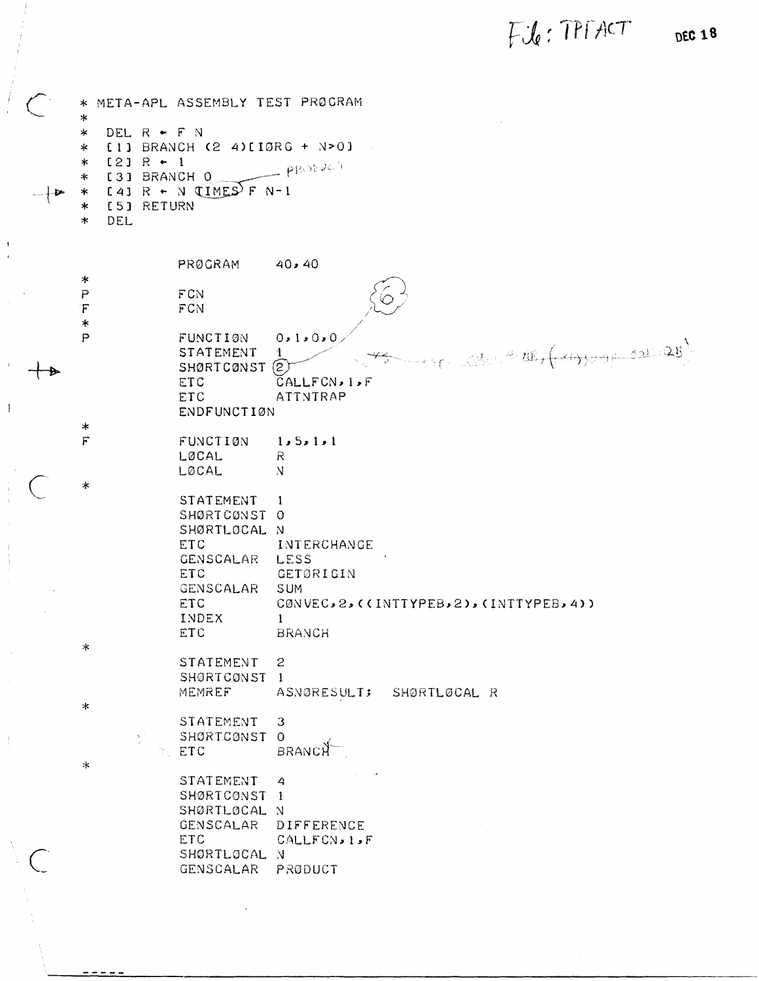File: TPFACT

|           | ∗.<br>$\ast$                                             |     |                                                                                             |                                                                                 | META-APL ASSEMBLY TEST PROGRAM                                                                                            |              |                                                                                                                                                                                                       |  |
|-----------|----------------------------------------------------------|-----|---------------------------------------------------------------------------------------------|---------------------------------------------------------------------------------|---------------------------------------------------------------------------------------------------------------------------|--------------|-------------------------------------------------------------------------------------------------------------------------------------------------------------------------------------------------------|--|
|           | ∗<br>$\ast$<br>$\ast$<br>$\ast$<br>$\ast$<br>∗<br>$\ast$ | DEL | DEL $R$ + $F$ N<br>$[2] R + 1$<br>[3] BRANCH O<br>$[24]$ R + N $(IMES)$ F N-1<br>[5] RETURN |                                                                                 | [1] BRANCH (2 4)[10RG + N>0]<br>probach                                                                                   |              |                                                                                                                                                                                                       |  |
|           |                                                          |     | PRØGRAM                                                                                     |                                                                                 | 40.40                                                                                                                     |              |                                                                                                                                                                                                       |  |
|           | $\star$<br>$\mathsf P$<br>F<br>$\ast$                    |     | FCN<br>FCN                                                                                  |                                                                                 |                                                                                                                           |              |                                                                                                                                                                                                       |  |
|           | $\overline{P}$                                           |     | FUNCTION<br><b>ETC</b><br>ETC                                                               | STATEMENT<br>SHØRTCØNST<br><b>ENDFUNCTION</b>                                   | 0.1.0.0<br>1<br>$(\widetilde{2})$<br>CALLFCN, 1, F<br>ATTNTRAP                                                            |              | $\mathcal{L}_{\mathcal{C}} = \mathbb{C}^{\mathbb{N}}$ , where $\mathbb{C}^{\mathbb{N}}$ , $\left(\mathbb{C}^{\mathbb{N}}\right)$ , $\mathbb{C}^{\mathbb{N}}$ , $\left(\mathbb{C}^{\mathbb{N}}\right)$ |  |
|           | $\ast$<br>$\overline{F}$                                 |     | FUNCTION<br>LØCAL<br>LØCAL                                                                  |                                                                                 | 1, 5, 1, 1<br>$\mathbb{R}$<br>N                                                                                           |              |                                                                                                                                                                                                       |  |
|           | $\star$<br>本                                             |     | <b>ETC</b><br>ETC<br>ETC<br>INDEX<br>ETC                                                    | STATEMENT<br>SHØRTCØNST<br>SHØRTLØCAL<br><b>GENSCALAR</b><br>GENSCALAR          | 1<br>0<br>N<br>INTERCHANGE<br>LESS<br>GETØRIGIN<br>SUM<br>CØNVEC, 2, ((INTTYPEB, 2), (INTTYPEB, 4))<br>1<br><b>BRANCH</b> |              |                                                                                                                                                                                                       |  |
|           | $\ast$                                                   |     | MEMREF                                                                                      | STATEMENT<br>SHØRTCØNST                                                         | $\mathfrak{p}$<br>1<br>ASNØRESULT;                                                                                        | SHØRTLØCAL R |                                                                                                                                                                                                       |  |
|           | $\ast$                                                   |     | 医气<br>ETC                                                                                   | STATEMENT<br>SHØRTCØNST                                                         | 3<br>$\circ$<br>BRANCH                                                                                                    |              |                                                                                                                                                                                                       |  |
| $\bigcup$ |                                                          |     | ETC                                                                                         | STATEMENT<br>SHØRTCØNST<br>SHØRTLØCAL<br>GENSCALAR<br>SHORTLOCAL N<br>GENSCALAR | 4<br>1<br>N<br>DIFFERENCE<br>CALLFCN, 1, F<br>PRODUCT                                                                     |              |                                                                                                                                                                                                       |  |

 $\ddot{i}$ 

 $\frac{1}{2}$ 

 $\bar{1}$ 

 $\frac{1}{2}$ 

**DEC 18**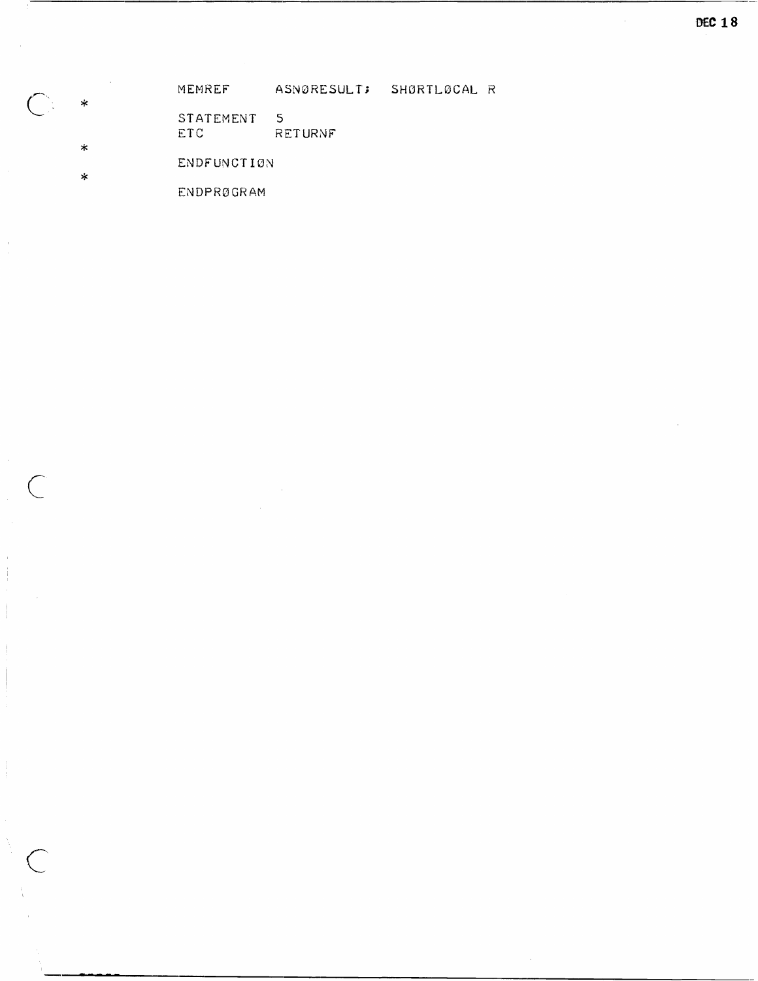MEMREF ASNØRESULT; SHØRTLØCAL R

- STATEMENT 5 ETC RETURNF
- ENDFUNCTION

 $\ast$ 

 $\sim$ 

 $\bar{1}$ 

 $\subset$ 

ENDPRØGRAM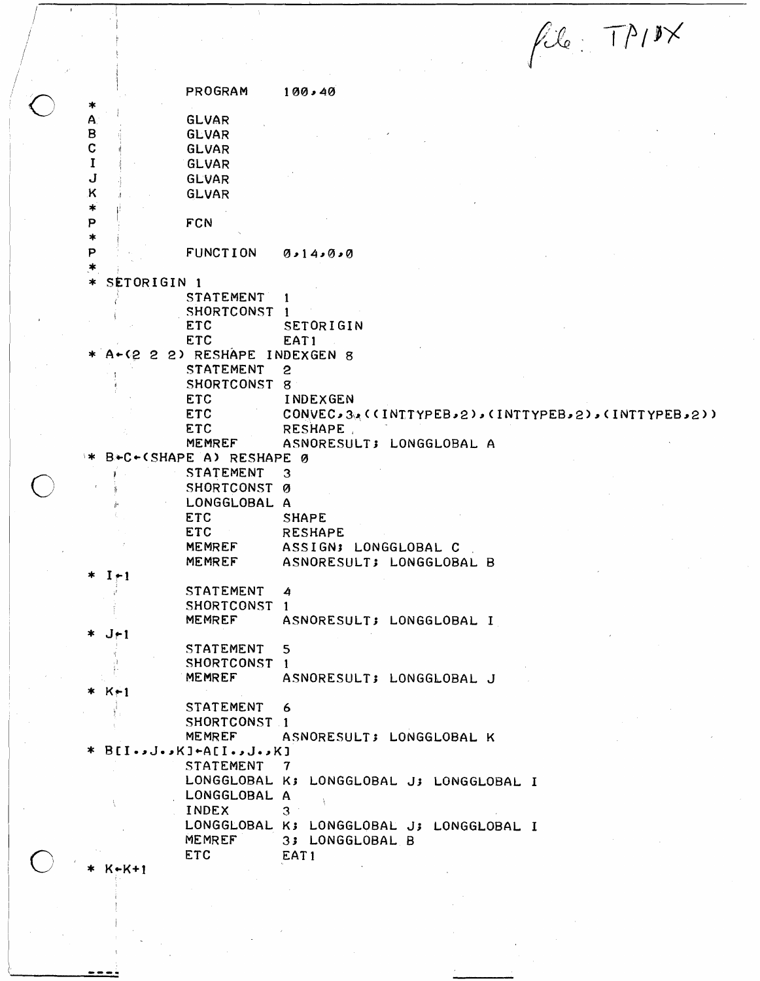$fil_{\epsilon}$  TPIX

PROGRAM  $100,40$ A **GLVAR**  $\mathbf B$ **GLVAR**  $\mathbf C$ **GLVAR**  $\mathbf I$ **GLVAR** J **GLVAR** К GLVAR  $\star$ P FCN  $\star$ P **FUNCTION**  $0.14.000$ SETORIGIN 1 **STATEMENT** 1 SHORTCONST 1 SETORIGIN **ETC** ETC EAT1 A-(2 2 2) RESHAPE INDEXGEN 8 **STATEMENT**  $\overline{c}$ SHORTCONST 8 **ETC** INDEXGEN **ETC** CONVEC,3%(CINTTYPEB,2),CINTTYPEB,2),CINTTYPEB,2)) **ETC** RESHAPE. **MEMREF** ASNORESULT; LONGGLOBAL A B+C+(SHAPE A) RESHAPE 0 **STATEMENT** 3 SHORTCONST Ø LONGGLOBAL A **ETC SHAPE ETC RESHAPE MEMREF** ASSIGN; LONGGLOBAL C **MEMREF** ASNORESULT; LONGGLOBAL B  $I+1$ **STATEMENT** 4 SHORTCONST 1 MEMREF ASNORESULT; LONGGLOBAL I  $J-1$ **STATEMENT** 5 SHORTCONST 1 **MEMREF** ASNORESULT; LONGGLOBAL J  $K+1$ **STATEMENT** 6 SHORTCONST<sub>1</sub> MEMREF ASNORESULT; LONGGLOBAL K  $BIO \rightarrow J \rightarrow KI + ACI \rightarrow J \rightarrow KI$ **STATEMENT** 7 LONGGLOBAL K; LONGGLOBAL J; LONGGLOBAL I LONGGLOBAL A **INDEX** 3 LONGGLOBAL K; LONGGLOBAL J; LONGGLOBAL I MEMREF 3; LONGGLOBAL B **ETC** EAT1  $x - K + 1$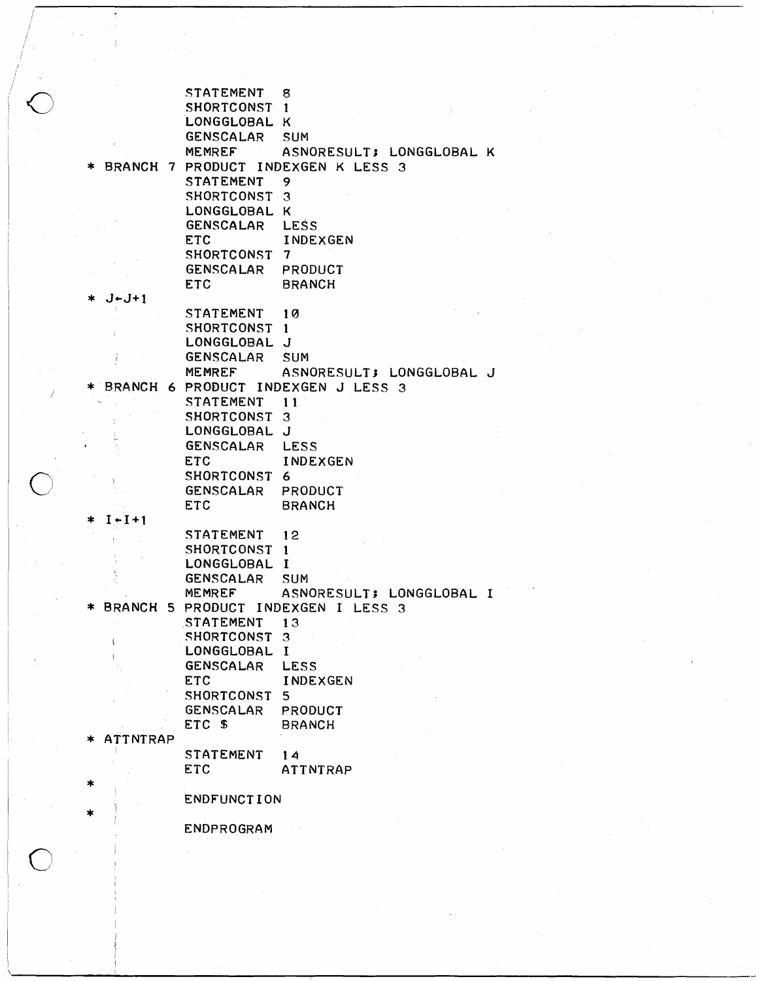STATEMENT 8 SHORTCONST 1 LONGGLOBAL K GENSCALAR SUM MEMREF ASNORESULT; LONGGLOBAL K BRANCH 7 PRODUCT INDEXGEN K LESS 3 STATEMENT 9 SHORTCONST 3 LONGGLOBAL K GENSCALAR LESS ETC INDEXGEN SHORTCONST 7 GENSCALAR PRODUCT ETC BRANCH  $J-J+1$ STATEMENT 10 SHORTCONST 1 LONGGLOBAL J GENSCALAR SUM MEMREF ASNORESULT; LONGGLOBAL J BRANCH 6 PRODUCT INDEXGEN J LESS 3 STATEMENT 11 SHORTCONST 3 LONGGLOBAL J GENSCALAR LESS ETC INDEXGEN SHORTCONST 6 GENSCALAR PRODUCT ETC BRANCH<br>\* I + I + 1  $1 - 1 + 1$ STATEMENT 12 SHORTCONST 1 LONGGLOBAL I GENSCALAR SUM MEMREF ASNORESULT; LONGGLOBAL I<br>BRANCH 5 PRODUCT INDEXGEN I LESS 3<br>STATEMENT 13 STATEMENT SHORTCONST 3  $\hat{\mathbf{I}}$ LONGGLOBAL I GENSCALAR LESS ETC INDEXGEN SHORTCONST 5 GENSCALAR PRODUCT ETC \$ BRANCH<br>ATTNTRAP STATEMENT 14 ETC ATTNTRAP \* **ENDFUNCTION** \* ENDPROGRAM

I / / / / / /  $\hat{\bigcirc}$ 

*j*

o

 $\begin{array}{|c|} \hline \end{array}$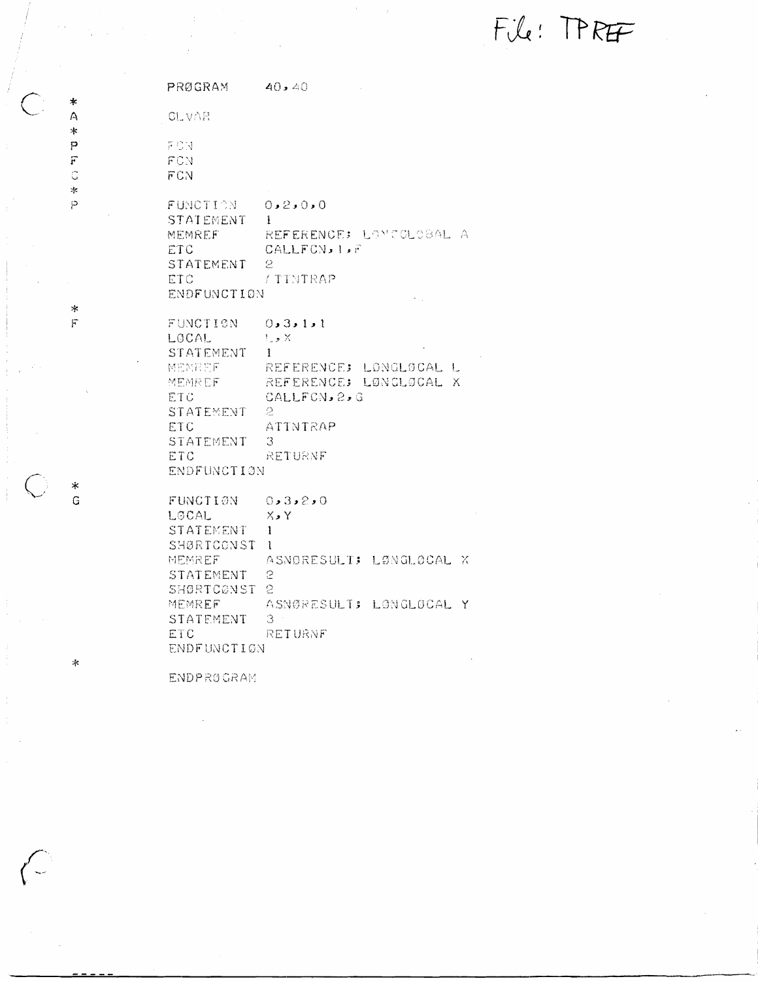File: TPREF

**PRØGRAM**  $40.40$ **GLVAR**  $FGM$ FCN FCN FUNCTION  $0.2.0.0$ **STATEMENT**  $\mathbf{1}$ REFERENCE: LOVCOLOBAL A MEMREF CALLFCN, 1, F ETC STATEMENT  $\mathfrak{S}$ / TINTRAP ETC ENDFUNCTION FUNCTION  $0, 3, 1, 1$ LOCAL  $t_{\rm s}$  ,  $\times$ STATEMENT  $\mathbf{I}$ **MEMREF** REFERENCE: LONGLOCAL L MEMREF REFERENCE: LØNGLØCAL X CALLFCN, 2, G ETC STATEMENT -2 ETC ATINTRAP STATEMENT  $3<sup>1</sup>$ ETC RETURNF ENDFUNCTION FUNCTION  $0.3.2.0$  $X \cdot Y$ **LOCAL** STATEMENT  $\mathbf{1}$ SHØRTCONST 1 **MEMREF** ASNORESULT: LØNGLØCAL X STATEMENT S SHØRTCØNST 2 MEMREF ASNØRESULT: LONGLOCAL Y  $\mathcal{S}^-$ STATEMENT ETC RETURNF ENDFUNCTION

**ENDPROGRAM** 

 $\frac{1}{2}$  $\Delta$ 

 $\ast$  $\mathsf{P}$ 

 $\overline{r}$ 

d

 $\pm$  $\bar{\wp}$ 

 $\star$  $\mathbf{F}$ 

∗  $\mathbb{G}$ 

 $\mathcal{M}$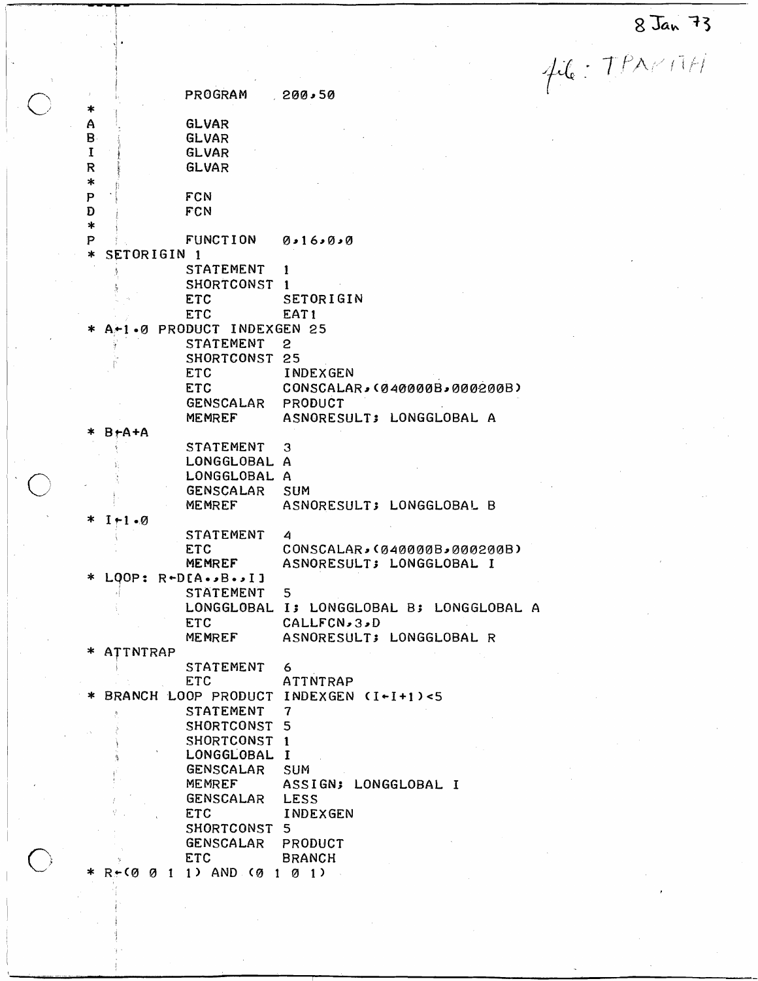8 Jan 73

 $116.797111$ 

 $\mathsf{A}$ 

| ∗            |                        | PROGRAM                                     | 200,50                                 |
|--------------|------------------------|---------------------------------------------|----------------------------------------|
| Α            |                        | <b>GLVAR</b>                                |                                        |
|              |                        |                                             |                                        |
| $\mathbf{B}$ |                        | <b>GLVAR</b>                                |                                        |
| $\mathbf I$  |                        | <b>GLVAR</b>                                |                                        |
| R<br>$\ast$  |                        | <b>GLVAR</b>                                |                                        |
| P            |                        | FCN                                         |                                        |
| Ð            |                        | <b>FCN</b>                                  |                                        |
| $\ast$       |                        |                                             |                                        |
| P            |                        | FUNCTION 0.16.000                           |                                        |
| $\ast$       | SETORIGIN <sub>1</sub> |                                             |                                        |
|              |                        | STATEMENT                                   | Ŧ                                      |
|              |                        | SHORTCONST 1                                |                                        |
|              |                        | <b>ETC</b>                                  | SETORIGIN                              |
|              |                        | ETC                                         | EAT1                                   |
|              |                        | 1.0 PRODUCT INDEXGEN 25                     |                                        |
|              |                        | STATEMENT                                   | 2                                      |
|              |                        | SHORTCONST 25                               |                                        |
|              |                        | <b>ETC</b>                                  | INDEXGEN                               |
|              |                        | <b>ETC</b>                                  | CONSCALAR, (040000B, 000200B)          |
|              |                        | GENSCALAR PRODUCT                           |                                        |
|              |                        | <b>MEMREF</b>                               | ASNORESULT; LONGGLOBAL A               |
|              | $B + A + A$            |                                             |                                        |
|              |                        | STATEMENT                                   | 3                                      |
|              |                        | LONGGLOBAL A                                |                                        |
|              |                        | LONGGLOBAL A                                |                                        |
|              |                        | <b>GENSCALAR</b>                            | SUM                                    |
|              |                        | MEMREF                                      | ASNORESULT; LONGGLOBAL B               |
| ∗            | $I+1$ . $\emptyset$    |                                             |                                        |
|              |                        | STATEMENT                                   | 4                                      |
|              |                        | <b>ETC</b>                                  | CONSCALAR, (040000B, 000200B)          |
|              |                        | <b>MEMREF</b>                               | ASNORESULT; LONGGLOBAL I               |
|              |                        | $LQOP: R+DEA \rightarrow B \rightarrow I$ ] |                                        |
|              |                        | <b>STATEMENT</b>                            | 5                                      |
|              |                        |                                             | LONGGLOBAL I; LONGGLOBAL B; LONGGLOBAL |
|              |                        | <b>ETC</b>                                  | CALLFCN, 3, D                          |
|              |                        | MEMREF                                      | ASNORESULT; LONGGLOBAL R               |
|              | * ATTNTRAP             |                                             |                                        |
|              |                        | STATEMENT                                   | 6                                      |
|              |                        | <b>ETC</b>                                  | ATTNTRAP                               |
|              |                        |                                             | BRANCH LOOP PRODUCT INDEXGEN (I+I+1)<5 |
|              |                        | STATEMENT                                   | $\overline{\mathbf{7}}$                |
|              |                        | SHORTCONST                                  | 5                                      |
|              |                        | SHORTCONST 1                                |                                        |
|              |                        | LONGGLOBAL I                                |                                        |
|              |                        | GENSCALAR                                   | <b>SUM</b>                             |
|              |                        | <b>MEMREF</b>                               | ASSIGN; LONGGLOBAL I                   |
|              |                        | GENSCALAR                                   | LESS                                   |
|              |                        | <b>ETC</b>                                  | INDEXGEN                               |
|              |                        | SHORTCONST                                  | 5                                      |
|              |                        | GENSCALAR PRODUCT                           |                                        |
|              |                        | <b>ETC</b>                                  | <b>BRANCH</b>                          |
|              |                        | $R \div (0 \ 0 \ 1 \ 1)$ AND (0 1           | Ø<br>1 <sub>2</sub>                    |
|              |                        |                                             |                                        |

 $\bigcirc$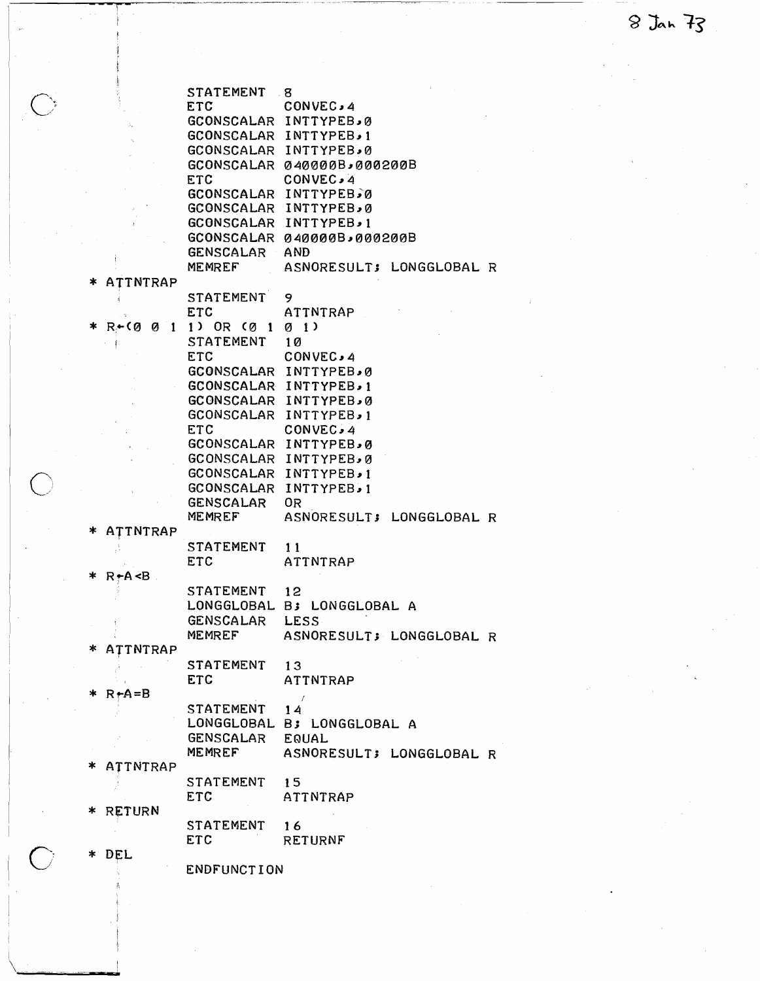8 Jan 73

|                               |                          | STATEMENT 8      |                                |                          |  |
|-------------------------------|--------------------------|------------------|--------------------------------|--------------------------|--|
|                               | <b>ETC</b>               |                  | <b>CONVEC,4</b>                |                          |  |
| $\hat{\mathcal{S}}_{\bullet}$ |                          |                  | GCONSCALAR INTTYPEB, 0         |                          |  |
|                               |                          |                  | GCONSCALAR INTTYPEB.1          |                          |  |
|                               |                          |                  | GCONSCALAR INTTYPEB.0          |                          |  |
|                               |                          |                  | GCONSCALAR 040000B,000200B     |                          |  |
|                               | <b>ETC</b>               |                  | CONVEC, 4                      |                          |  |
|                               |                          |                  | GCONSCALAR INTTYPEB.0          |                          |  |
|                               |                          |                  | GCONSCALAR INTTYPEB.0          |                          |  |
|                               |                          |                  | <b>GCONSCALAR INTTYPEB</b> , 1 |                          |  |
|                               |                          |                  | GCONSCALAR 040000B,000200B     |                          |  |
|                               |                          | GENSCALAR AND    |                                |                          |  |
|                               |                          | MEMREF           |                                | ASNORESULT; LONGGLOBAL R |  |
| ж                             | ATTNTRAP                 |                  |                                |                          |  |
|                               |                          | STATEMENT        | 9.                             |                          |  |
|                               | <b>ETC</b>               |                  | ATTNTRAP                       |                          |  |
| ∗                             | $R + (0011)$ OR $(0101)$ |                  |                                |                          |  |
|                               |                          | STATEMENT 10     |                                |                          |  |
|                               | ETC.                     |                  | CONVEC, 4                      |                          |  |
|                               |                          |                  | GCONSCALAR INTTYPEB.0          |                          |  |
|                               |                          |                  | <b>GCONSCALAR INTTYPEB, 1</b>  |                          |  |
|                               |                          |                  | GCONSCALAR INTTYPEB, Ø         |                          |  |
|                               |                          |                  | GCONSCALAR INTTYPEB, 1         |                          |  |
|                               | <b>ETC</b>               |                  | CONVEC, 4                      |                          |  |
|                               |                          |                  | GCONSCALAR INTTYPEB, 0         |                          |  |
|                               |                          |                  | GCONSCALAR INTTYPEB, Ø         |                          |  |
|                               |                          |                  | <b>GCONSCALAR INTTYPEB.1</b>   |                          |  |
|                               |                          |                  | <b>GCONSCALAR INTTYPEB.1</b>   |                          |  |
|                               |                          | <b>GENSCALAR</b> | 0R                             |                          |  |
|                               |                          | MEMREF           |                                | ASNORESULT; LONGGLOBAL R |  |
|                               | ATTNTRAP                 |                  |                                |                          |  |
|                               |                          | STATEMENT        | 11                             |                          |  |
|                               | ETC                      |                  | ATTNTRAP                       |                          |  |
| R≁A <b.<br>∗</b.<br>          |                          |                  |                                |                          |  |
|                               |                          | STATEMENT 12     |                                |                          |  |
|                               |                          |                  | LONGGLOBAL B; LONGGLOBAL A     |                          |  |
|                               |                          | GENSCALAR        | LESS.                          |                          |  |
|                               | MEMREF                   |                  |                                | ASNORESULT; LONGGLOBAL R |  |
|                               | ATTNTRAP                 |                  |                                |                          |  |
|                               | <b>STATEMENT</b>         |                  | 13                             |                          |  |
|                               | <b>ETC</b>               |                  | ATTNTRAP                       |                          |  |
| $R + A = B$<br>*              |                          |                  | $\rightarrow$                  |                          |  |
|                               |                          | STATEMENT        | 14                             |                          |  |
|                               |                          | LONGGLOBAL       | B; LONGGLOBAL A                |                          |  |
|                               |                          | GENSCALAR        | <b>EQUAL</b>                   |                          |  |
|                               | <b>MEMREF</b>            |                  |                                | ASNORESULT; LONGGLOBAL R |  |
| *                             | <b>ATTNTRAP</b>          |                  |                                |                          |  |
|                               | STATEMENT                |                  | 15                             |                          |  |
|                               | ETC                      |                  | ATTNTRAP                       |                          |  |
| <b>RETURN</b><br>∗            |                          |                  |                                |                          |  |
|                               |                          | STATEMENT        | 16                             |                          |  |
|                               | <b>ETC</b>               |                  | <b>RETURNF</b>                 |                          |  |
| DEL<br>*                      |                          |                  |                                |                          |  |
|                               |                          | ENDFUNCTION      |                                |                          |  |
|                               |                          |                  |                                |                          |  |

 $\begin{bmatrix} 1 \\ 1 \end{bmatrix}$